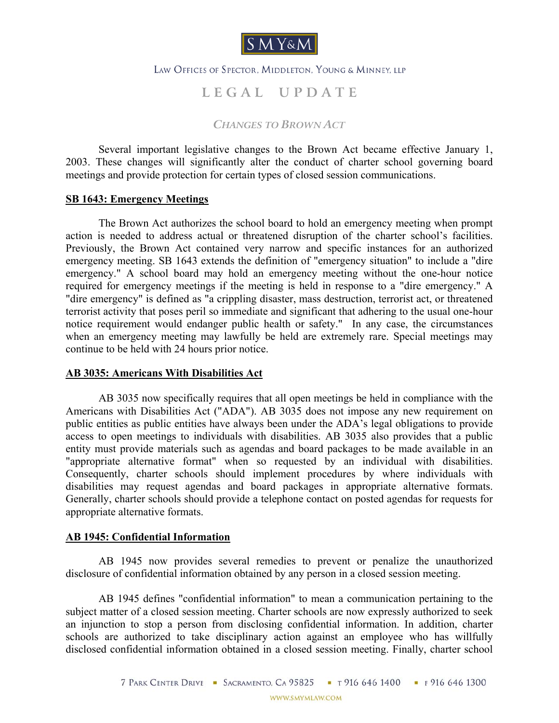

## LAW OFFICES OF SPECTOR. MIDDLETON. YOUNG & MINNEY, LLP

# **L E G A L U P D A T E**

*CHANGES TO BROWN ACT*

Several important legislative changes to the Brown Act became effective January 1, 2003. These changes will significantly alter the conduct of charter school governing board meetings and provide protection for certain types of closed session communications.

## **SB 1643: Emergency Meetings**

The Brown Act authorizes the school board to hold an emergency meeting when prompt action is needed to address actual or threatened disruption of the charter school's facilities. Previously, the Brown Act contained very narrow and specific instances for an authorized emergency meeting. SB 1643 extends the definition of "emergency situation" to include a "dire emergency." A school board may hold an emergency meeting without the one-hour notice required for emergency meetings if the meeting is held in response to a "dire emergency." A "dire emergency" is defined as "a crippling disaster, mass destruction, terrorist act, or threatened terrorist activity that poses peril so immediate and significant that adhering to the usual one-hour notice requirement would endanger public health or safety." In any case, the circumstances when an emergency meeting may lawfully be held are extremely rare. Special meetings may continue to be held with 24 hours prior notice.

## **AB 3035: Americans With Disabilities Act**

AB 3035 now specifically requires that all open meetings be held in compliance with the Americans with Disabilities Act ("ADA"). AB 3035 does not impose any new requirement on public entities as public entities have always been under the ADA's legal obligations to provide access to open meetings to individuals with disabilities. AB 3035 also provides that a public entity must provide materials such as agendas and board packages to be made available in an "appropriate alternative format" when so requested by an individual with disabilities. Consequently, charter schools should implement procedures by where individuals with disabilities may request agendas and board packages in appropriate alternative formats. Generally, charter schools should provide a telephone contact on posted agendas for requests for appropriate alternative formats.

## **AB 1945: Confidential Information**

AB 1945 now provides several remedies to prevent or penalize the unauthorized disclosure of confidential information obtained by any person in a closed session meeting.

AB 1945 defines "confidential information" to mean a communication pertaining to the subject matter of a closed session meeting. Charter schools are now expressly authorized to seek an injunction to stop a person from disclosing confidential information. In addition, charter schools are authorized to take disciplinary action against an employee who has willfully disclosed confidential information obtained in a closed session meeting. Finally, charter school